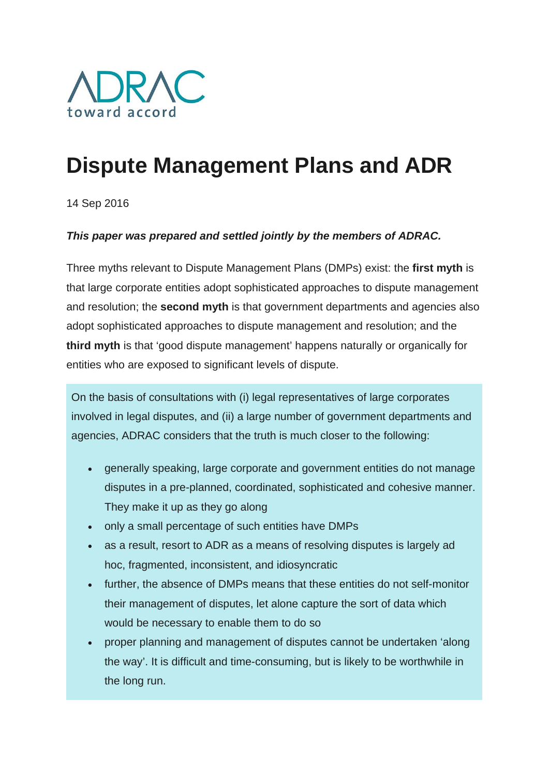

# **Dispute Management Plans and ADR**

14 Sep 2016

#### *This paper was prepared and settled jointly by the members of ADRAC.*

Three myths relevant to Dispute Management Plans (DMPs) exist: the **first myth** is that large corporate entities adopt sophisticated approaches to dispute management and resolution; the **second myth** is that government departments and agencies also adopt sophisticated approaches to dispute management and resolution; and the **third myth** is that 'good dispute management' happens naturally or organically for entities who are exposed to significant levels of dispute.

On the basis of consultations with (i) legal representatives of large corporates involved in legal disputes, and (ii) a large number of government departments and agencies, ADRAC considers that the truth is much closer to the following:

- generally speaking, large corporate and government entities do not manage disputes in a pre-planned, coordinated, sophisticated and cohesive manner. They make it up as they go along
- only a small percentage of such entities have DMPs
- as a result, resort to ADR as a means of resolving disputes is largely ad hoc, fragmented, inconsistent, and idiosyncratic
- further, the absence of DMPs means that these entities do not self-monitor their management of disputes, let alone capture the sort of data which would be necessary to enable them to do so
- proper planning and management of disputes cannot be undertaken 'along the way'. It is difficult and time-consuming, but is likely to be worthwhile in the long run.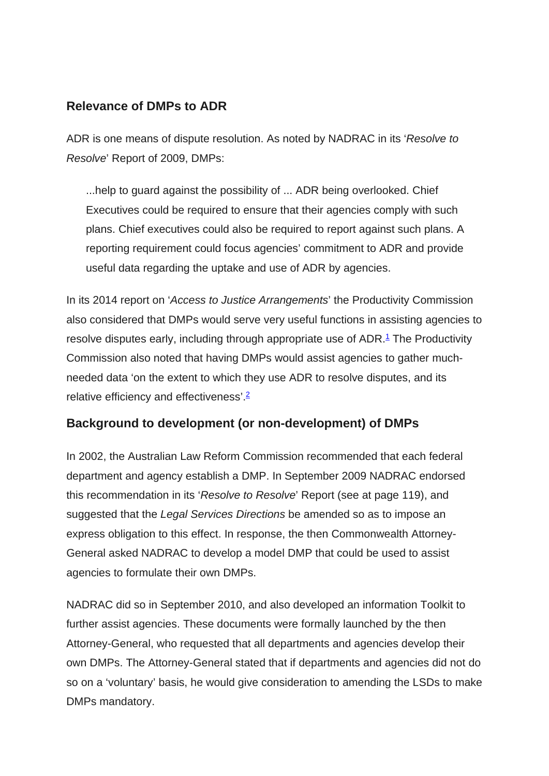## **Relevance of DMPs to ADR**

ADR is one means of dispute resolution. As noted by NADRAC in its '*Resolve to Resolve*' Report of 2009, DMPs:

...help to guard against the possibility of ... ADR being overlooked. Chief Executives could be required to ensure that their agencies comply with such plans. Chief executives could also be required to report against such plans. A reporting requirement could focus agencies' commitment to ADR and provide useful data regarding the uptake and use of ADR by agencies.

In its 2014 report on '*Access to Justice Arrangements*' the Productivity Commission also considered that DMPs would serve very useful functions in assisting agencies to resolve disputes early, including through appropriate use of ADR.<sup>1</sup> The Productivity Commission also noted that having DMPs would assist agencies to gather muchneeded data 'on the extent to which they use ADR to resolve disputes, and its relative efficiency and effectiveness'.2

# **Background to development (or non-development) of DMPs**

In 2002, the Australian Law Reform Commission recommended that each federal department and agency establish a DMP. In September 2009 NADRAC endorsed this recommendation in its '*Resolve to Resolve*' Report (see at page 119), and suggested that the *Legal Services Directions* be amended so as to impose an express obligation to this effect. In response, the then Commonwealth Attorney-General asked NADRAC to develop a model DMP that could be used to assist agencies to formulate their own DMPs.

NADRAC did so in September 2010, and also developed an information Toolkit to further assist agencies. These documents were formally launched by the then Attorney-General, who requested that all departments and agencies develop their own DMPs. The Attorney-General stated that if departments and agencies did not do so on a 'voluntary' basis, he would give consideration to amending the LSDs to make DMPs mandatory.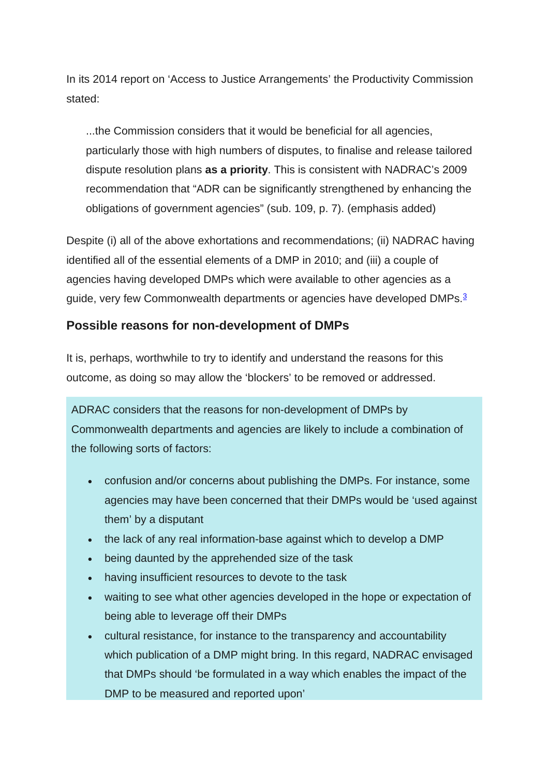In its 2014 report on 'Access to Justice Arrangements' the Productivity Commission stated:

...the Commission considers that it would be beneficial for all agencies, particularly those with high numbers of disputes, to finalise and release tailored dispute resolution plans **as a priority**. This is consistent with NADRAC's 2009 recommendation that "ADR can be significantly strengthened by enhancing the obligations of government agencies" (sub. 109, p. 7). (emphasis added)

Despite (i) all of the above exhortations and recommendations; (ii) NADRAC having identified all of the essential elements of a DMP in 2010; and (iii) a couple of agencies having developed DMPs which were available to other agencies as a guide, very few Commonwealth departments or agencies have developed DMPs.<sup>3</sup>

#### **Possible reasons for non-development of DMPs**

It is, perhaps, worthwhile to try to identify and understand the reasons for this outcome, as doing so may allow the 'blockers' to be removed or addressed.

ADRAC considers that the reasons for non-development of DMPs by Commonwealth departments and agencies are likely to include a combination of the following sorts of factors:

- confusion and/or concerns about publishing the DMPs. For instance, some agencies may have been concerned that their DMPs would be 'used against them' by a disputant
- the lack of any real information-base against which to develop a DMP
- being daunted by the apprehended size of the task
- having insufficient resources to devote to the task
- waiting to see what other agencies developed in the hope or expectation of being able to leverage off their DMPs
- cultural resistance, for instance to the transparency and accountability which publication of a DMP might bring. In this regard, NADRAC envisaged that DMPs should 'be formulated in a way which enables the impact of the DMP to be measured and reported upon'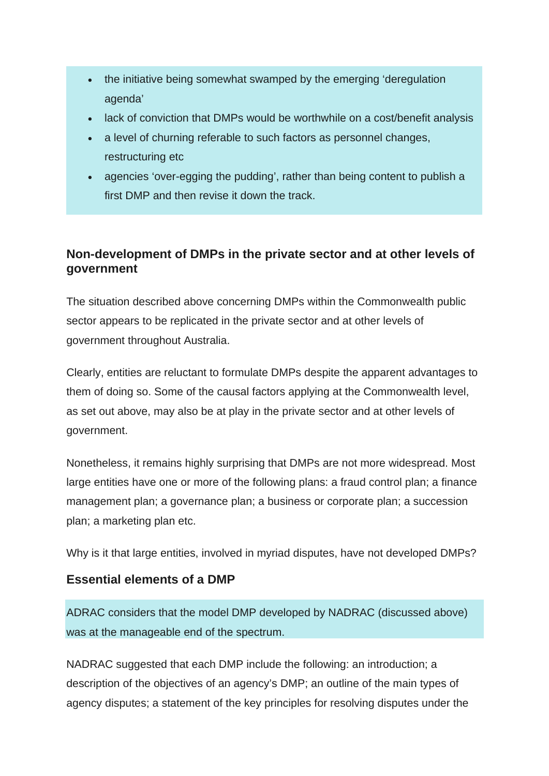- the initiative being somewhat swamped by the emerging 'deregulation agenda'
- lack of conviction that DMPs would be worthwhile on a cost/benefit analysis
- a level of churning referable to such factors as personnel changes, restructuring etc
- agencies 'over-egging the pudding', rather than being content to publish a first DMP and then revise it down the track.

# **Non-development of DMPs in the private sector and at other levels of government**

The situation described above concerning DMPs within the Commonwealth public sector appears to be replicated in the private sector and at other levels of government throughout Australia.

Clearly, entities are reluctant to formulate DMPs despite the apparent advantages to them of doing so. Some of the causal factors applying at the Commonwealth level, as set out above, may also be at play in the private sector and at other levels of government.

Nonetheless, it remains highly surprising that DMPs are not more widespread. Most large entities have one or more of the following plans: a fraud control plan; a finance management plan; a governance plan; a business or corporate plan; a succession plan; a marketing plan etc.

Why is it that large entities, involved in myriad disputes, have not developed DMPs?

### **Essential elements of a DMP**

ADRAC considers that the model DMP developed by NADRAC (discussed above) was at the manageable end of the spectrum.

NADRAC suggested that each DMP include the following: an introduction; a description of the objectives of an agency's DMP; an outline of the main types of agency disputes; a statement of the key principles for resolving disputes under the